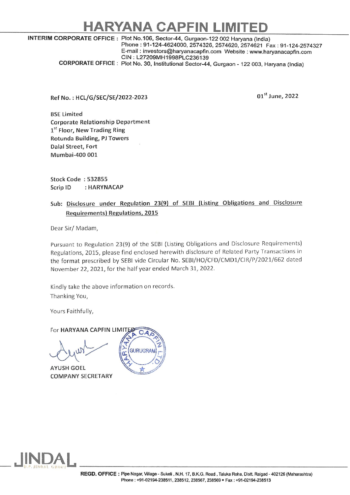## HARYANA CAPFIN L

## INTERIM CORPORATE OFFICE : Plot No.106, Sector-44, Gurgaon-122 002 Haryana (India) Phone : 91-124-4624000, 2574326, 2574620, 2574621 Fax : 91-124-2574327 E-mail : investors@haryanacapfin.com Website : www.haryanacapfin.com

CORPORATE OFFICE : Plot No. 30, Institutional Sector-44, Gurgaon - 122 003, Haryana (India)

Ref No. : HCL/G/SEC/SE/2022-2023

01<sup>st</sup> June, 2022

BSE Limited Corporate Relationship Department 1<sup>st</sup> Floor, New Trading Ring Rotunda Building, PJ Towers Dalal Street, Fort Mumbai-400 001

Stock Code : 532855 Scrip ID : HARYNACAP

Sub: Disclosure under Regulation 23(9) of SEBI (Listing Obligations and Disclosure Requirements) Regulations, 2015

Dear Sir/ Madam,

Pursuant to Regulation 23(9) of the SEBI (Listing Obligations and Disclosure Requirements) Regulations, 2015, please find enclosed herewith disclosure of Related Party Transactions in the format prescribed by SEBI vide Circular No. SEBI/HO/CFD/CMD1/CIR/P/2021/662 dated November 22, 2021, for the half year ended March 31, 2022. osure under Regulation 23(9) of SEBI (Listin<br>
irements) Regulations, 2015<br>
Nadam,<br>
Tadam,<br>
S. Regulation 23(9) of the SEBI (Listing Obligation<br>
5, 2015, please find enclosed herewith disclosure<br>
prescribed by SEBI vide Cir

Kindly take the above information on records. Thanking You,

Yours Faithfully,

For HARYANA CAPFIN LIMITED  $CA$ 

AYUSH GOEL COMPANY SECRETARY